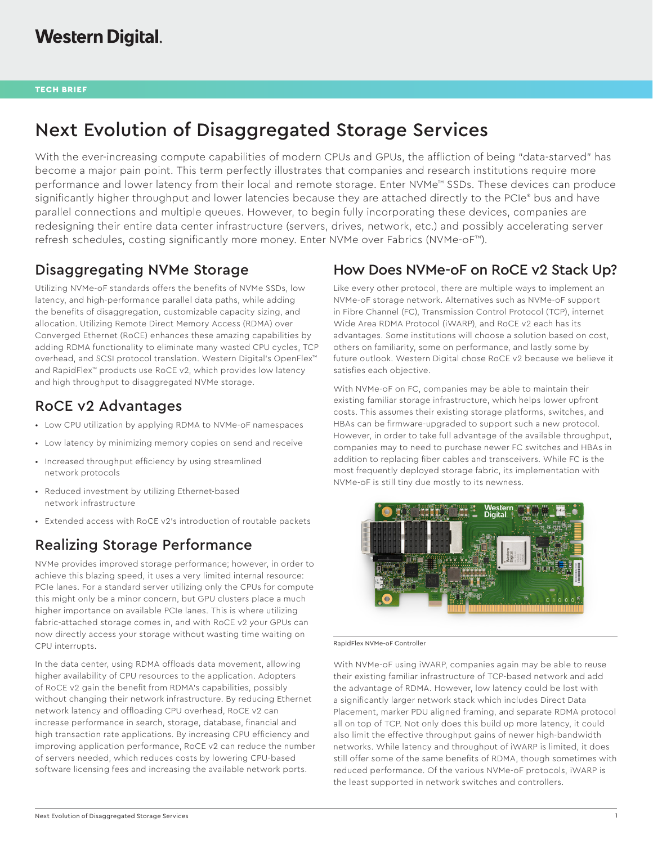# Next Evolution of Disaggregated Storage Services

With the ever-increasing compute capabilities of modern CPUs and GPUs, the affliction of being "data-starved" has become a major pain point. This term perfectly illustrates that companies and research institutions require more performance and lower latency from their local and remote storage. Enter NVMe™ SSDs. These devices can produce significantly higher throughput and lower latencies because they are attached directly to the PCIe® bus and have parallel connections and multiple queues. However, to begin fully incorporating these devices, companies are redesigning their entire data center infrastructure (servers, drives, network, etc.) and possibly accelerating server refresh schedules, costing significantly more money. Enter NVMe over Fabrics (NVMe-oF™).

### Disaggregating NVMe Storage

Utilizing NVMe-oF standards offers the benefits of NVMe SSDs, low latency, and high-performance parallel data paths, while adding the benefits of disaggregation, customizable capacity sizing, and allocation. Utilizing Remote Direct Memory Access (RDMA) over Converged Ethernet (RoCE) enhances these amazing capabilities by adding RDMA functionality to eliminate many wasted CPU cycles, TCP overhead, and SCSI protocol translation. Western Digital's OpenFlex™ and RapidFlex™ products use RoCE v2, which provides low latency and high throughput to disaggregated NVMe storage.

## RoCE v2 Advantages

- Low CPU utilization by applying RDMA to NVMe-oF namespaces
- Low latency by minimizing memory copies on send and receive
- Increased throughput efficiency by using streamlined network protocols
- Reduced investment by utilizing Ethernet-based network infrastructure
- Extended access with RoCE v2's introduction of routable packets

## Realizing Storage Performance

NVMe provides improved storage performance; however, in order to achieve this blazing speed, it uses a very limited internal resource: PCIe lanes. For a standard server utilizing only the CPUs for compute this might only be a minor concern, but GPU clusters place a much higher importance on available PCIe lanes. This is where utilizing fabric-attached storage comes in, and with RoCE v2 your GPUs can now directly access your storage without wasting time waiting on CPU interrupts.

In the data center, using RDMA offloads data movement, allowing higher availability of CPU resources to the application. Adopters of RoCE v2 gain the benefit from RDMA's capabilities, possibly without changing their network infrastructure. By reducing Ethernet network latency and offloading CPU overhead, RoCE v2 can increase performance in search, storage, database, financial and high transaction rate applications. By increasing CPU efficiency and improving application performance, RoCE v2 can reduce the number of servers needed, which reduces costs by lowering CPU-based software licensing fees and increasing the available network ports.

### How Does NVMe-oF on RoCE v2 Stack Up?

Like every other protocol, there are multiple ways to implement an NVMe-oF storage network. Alternatives such as NVMe-oF support in Fibre Channel (FC), Transmission Control Protocol (TCP), internet Wide Area RDMA Protocol (iWARP), and RoCE v2 each has its advantages. Some institutions will choose a solution based on cost, others on familiarity, some on performance, and lastly some by future outlook. Western Digital chose RoCE v2 because we believe it satisfies each objective.

With NVMe-oF on FC, companies may be able to maintain their existing familiar storage infrastructure, which helps lower upfront costs. This assumes their existing storage platforms, switches, and HBAs can be firmware-upgraded to support such a new protocol. However, in order to take full advantage of the available throughput, companies may to need to purchase newer FC switches and HBAs in addition to replacing fiber cables and transceivers. While FC is the most frequently deployed storage fabric, its implementation with NVMe-oF is still tiny due mostly to its newness.



RapidFlex NVMe-oF Controller

With NVMe-oF using iWARP, companies again may be able to reuse their existing familiar infrastructure of TCP-based network and add the advantage of RDMA. However, low latency could be lost with a significantly larger network stack which includes Direct Data Placement, marker PDU aligned framing, and separate RDMA protocol all on top of TCP. Not only does this build up more latency, it could also limit the effective throughput gains of newer high-bandwidth networks. While latency and throughput of iWARP is limited, it does still offer some of the same benefits of RDMA, though sometimes with reduced performance. Of the various NVMe-oF protocols, iWARP is the least supported in network switches and controllers.